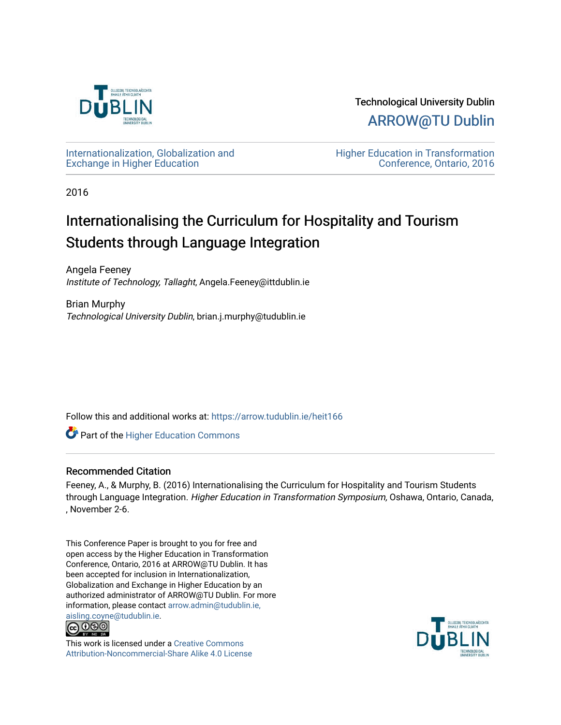

Technological University Dublin [ARROW@TU Dublin](https://arrow.tudublin.ie/) 

[Internationalization, Globalization and](https://arrow.tudublin.ie/heit166)  [Exchange in Higher Education](https://arrow.tudublin.ie/heit166)

[Higher Education in Transformation](https://arrow.tudublin.ie/tuheit16)  [Conference, Ontario, 2016](https://arrow.tudublin.ie/tuheit16) 

2016

# Internationalising the Curriculum for Hospitality and Tourism Students through Language Integration

Angela Feeney Institute of Technology, Tallaght, Angela.Feeney@ittdublin.ie

Brian Murphy Technological University Dublin, brian.j.murphy@tudublin.ie

Follow this and additional works at: [https://arrow.tudublin.ie/heit166](https://arrow.tudublin.ie/heit166?utm_source=arrow.tudublin.ie%2Fheit166%2F2&utm_medium=PDF&utm_campaign=PDFCoverPages)

**Part of the Higher Education Commons** 

## Recommended Citation

Feeney, A., & Murphy, B. (2016) Internationalising the Curriculum for Hospitality and Tourism Students through Language Integration. Higher Education in Transformation Symposium, Oshawa, Ontario, Canada, , November 2-6.

This Conference Paper is brought to you for free and open access by the Higher Education in Transformation Conference, Ontario, 2016 at ARROW@TU Dublin. It has been accepted for inclusion in Internationalization, Globalization and Exchange in Higher Education by an authorized administrator of ARROW@TU Dublin. For more information, please contact [arrow.admin@tudublin.ie,](mailto:arrow.admin@tudublin.ie,%20aisling.coyne@tudublin.ie) 



This work is licensed under a [Creative Commons](http://creativecommons.org/licenses/by-nc-sa/4.0/) [Attribution-Noncommercial-Share Alike 4.0 License](http://creativecommons.org/licenses/by-nc-sa/4.0/)

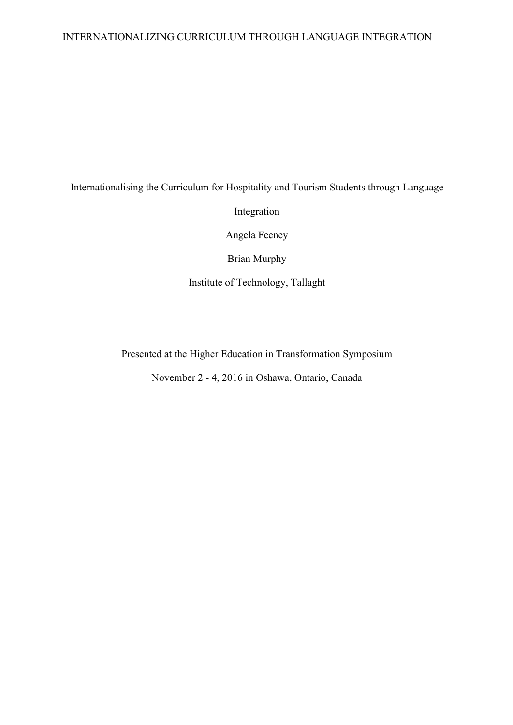# INTERNATIONALIZING CURRICULUM THROUGH LANGUAGE INTEGRATION

# Internationalising the Curriculum for Hospitality and Tourism Students through Language Integration Angela Feeney Brian Murphy Institute of Technology, Tallaght

Presented at the Higher Education in Transformation Symposium

November 2 - 4, 2016 in Oshawa, Ontario, Canada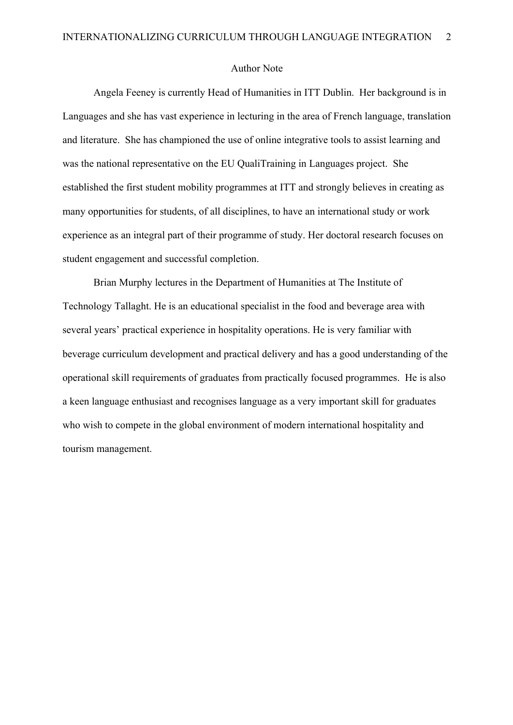### Author Note

Angela Feeney is currently Head of Humanities in ITT Dublin. Her background is in Languages and she has vast experience in lecturing in the area of French language, translation and literature. She has championed the use of online integrative tools to assist learning and was the national representative on the EU QualiTraining in Languages project. She established the first student mobility programmes at ITT and strongly believes in creating as many opportunities for students, of all disciplines, to have an international study or work experience as an integral part of their programme of study. Her doctoral research focuses on student engagement and successful completion.

Brian Murphy lectures in the Department of Humanities at The Institute of Technology Tallaght. He is an educational specialist in the food and beverage area with several years' practical experience in hospitality operations. He is very familiar with beverage curriculum development and practical delivery and has a good understanding of the operational skill requirements of graduates from practically focused programmes. He is also a keen language enthusiast and recognises language as a very important skill for graduates who wish to compete in the global environment of modern international hospitality and tourism management.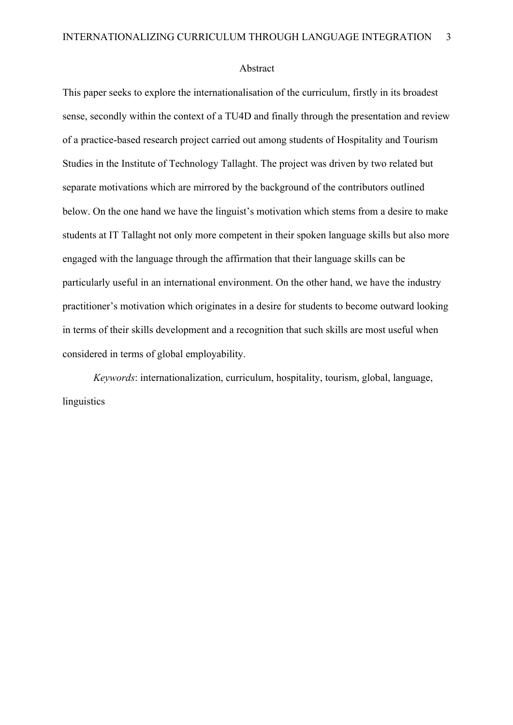#### Abstract

This paper seeks to explore the internationalisation of the curriculum, firstly in its broadest sense, secondly within the context of a TU4D and finally through the presentation and review of a practice-based research project carried out among students of Hospitality and Tourism Studies in the Institute of Technology Tallaght. The project was driven by two related but separate motivations which are mirrored by the background of the contributors outlined below. On the one hand we have the linguist's motivation which stems from a desire to make students at IT Tallaght not only more competent in their spoken language skills but also more engaged with the language through the affirmation that their language skills can be particularly useful in an international environment. On the other hand, we have the industry practitioner's motivation which originates in a desire for students to become outward looking in terms of their skills development and a recognition that such skills are most useful when considered in terms of global employability.

*Keywords*: internationalization, curriculum, hospitality, tourism, global, language, linguistics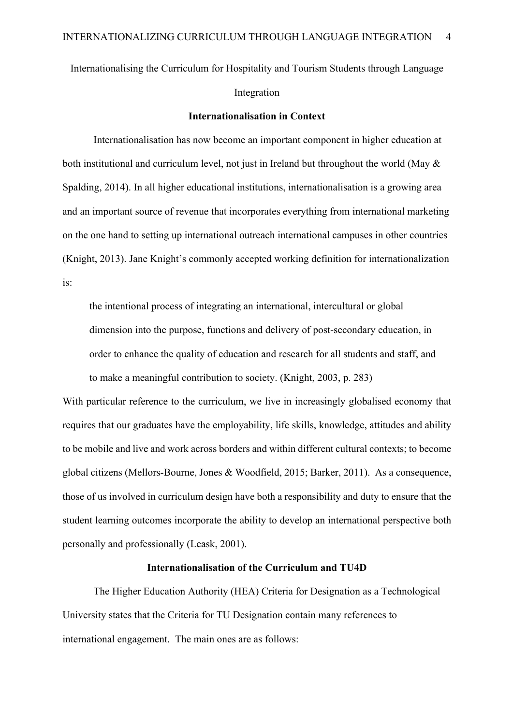Internationalising the Curriculum for Hospitality and Tourism Students through Language Integration

#### **Internationalisation in Context**

Internationalisation has now become an important component in higher education at both institutional and curriculum level, not just in Ireland but throughout the world (May & Spalding, 2014). In all higher educational institutions, internationalisation is a growing area and an important source of revenue that incorporates everything from international marketing on the one hand to setting up international outreach international campuses in other countries (Knight, 2013). Jane Knight's commonly accepted working definition for internationalization is:

the intentional process of integrating an international, intercultural or global dimension into the purpose, functions and delivery of post-secondary education, in order to enhance the quality of education and research for all students and staff, and to make a meaningful contribution to society. (Knight, 2003, p. 283)

With particular reference to the curriculum, we live in increasingly globalised economy that requires that our graduates have the employability, life skills, knowledge, attitudes and ability to be mobile and live and work across borders and within different cultural contexts; to become global citizens (Mellors-Bourne, Jones & Woodfield, 2015; Barker, 2011). As a consequence, those of us involved in curriculum design have both a responsibility and duty to ensure that the student learning outcomes incorporate the ability to develop an international perspective both personally and professionally (Leask, 2001).

# **Internationalisation of the Curriculum and TU4D**

The Higher Education Authority (HEA) Criteria for Designation as a Technological University states that the Criteria for TU Designation contain many references to international engagement. The main ones are as follows: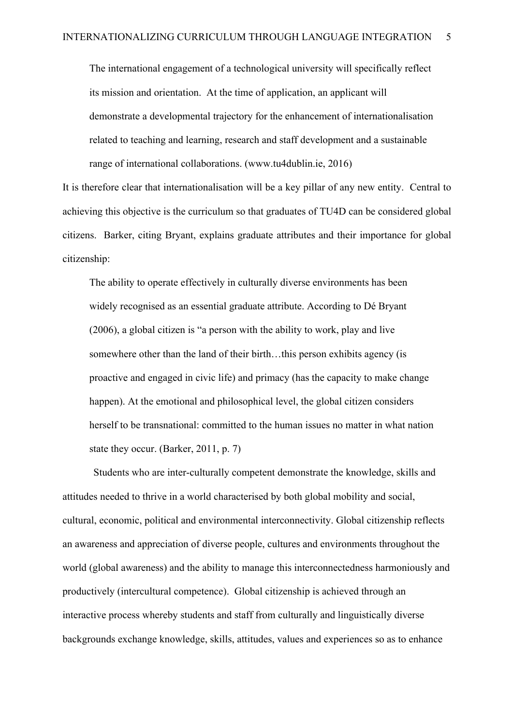The international engagement of a technological university will specifically reflect its mission and orientation. At the time of application, an applicant will demonstrate a developmental trajectory for the enhancement of internationalisation related to teaching and learning, research and staff development and a sustainable range of international collaborations. (www.tu4dublin.ie, 2016)

It is therefore clear that internationalisation will be a key pillar of any new entity. Central to achieving this objective is the curriculum so that graduates of TU4D can be considered global citizens. Barker, citing Bryant, explains graduate attributes and their importance for global citizenship:

The ability to operate effectively in culturally diverse environments has been widely recognised as an essential graduate attribute. According to Dé Bryant (2006), a global citizen is "a person with the ability to work, play and live somewhere other than the land of their birth…this person exhibits agency (is proactive and engaged in civic life) and primacy (has the capacity to make change happen). At the emotional and philosophical level, the global citizen considers herself to be transnational: committed to the human issues no matter in what nation state they occur. (Barker, 2011, p. 7)

Students who are inter-culturally competent demonstrate the knowledge, skills and attitudes needed to thrive in a world characterised by both global mobility and social, cultural, economic, political and environmental interconnectivity. Global citizenship reflects an awareness and appreciation of diverse people, cultures and environments throughout the world (global awareness) and the ability to manage this interconnectedness harmoniously and productively (intercultural competence). Global citizenship is achieved through an interactive process whereby students and staff from culturally and linguistically diverse backgrounds exchange knowledge, skills, attitudes, values and experiences so as to enhance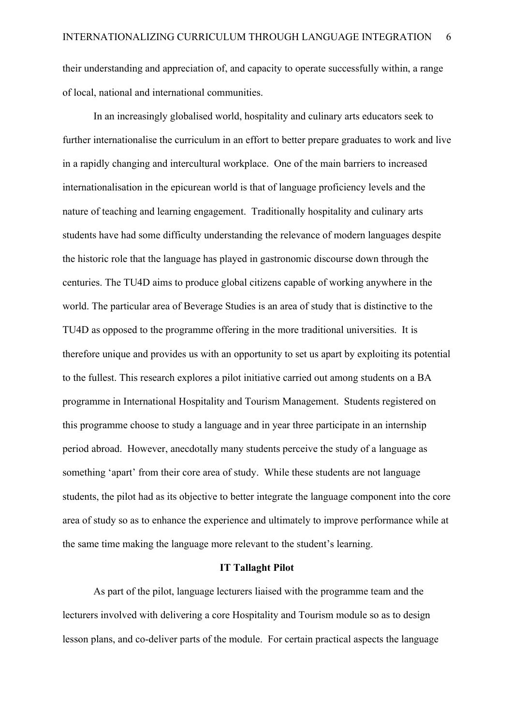their understanding and appreciation of, and capacity to operate successfully within, a range of local, national and international communities.

In an increasingly globalised world, hospitality and culinary arts educators seek to further internationalise the curriculum in an effort to better prepare graduates to work and live in a rapidly changing and intercultural workplace. One of the main barriers to increased internationalisation in the epicurean world is that of language proficiency levels and the nature of teaching and learning engagement. Traditionally hospitality and culinary arts students have had some difficulty understanding the relevance of modern languages despite the historic role that the language has played in gastronomic discourse down through the centuries. The TU4D aims to produce global citizens capable of working anywhere in the world. The particular area of Beverage Studies is an area of study that is distinctive to the TU4D as opposed to the programme offering in the more traditional universities. It is therefore unique and provides us with an opportunity to set us apart by exploiting its potential to the fullest. This research explores a pilot initiative carried out among students on a BA programme in International Hospitality and Tourism Management. Students registered on this programme choose to study a language and in year three participate in an internship period abroad. However, anecdotally many students perceive the study of a language as something 'apart' from their core area of study. While these students are not language students, the pilot had as its objective to better integrate the language component into the core area of study so as to enhance the experience and ultimately to improve performance while at the same time making the language more relevant to the student's learning.

#### **IT Tallaght Pilot**

As part of the pilot, language lecturers liaised with the programme team and the lecturers involved with delivering a core Hospitality and Tourism module so as to design lesson plans, and co-deliver parts of the module. For certain practical aspects the language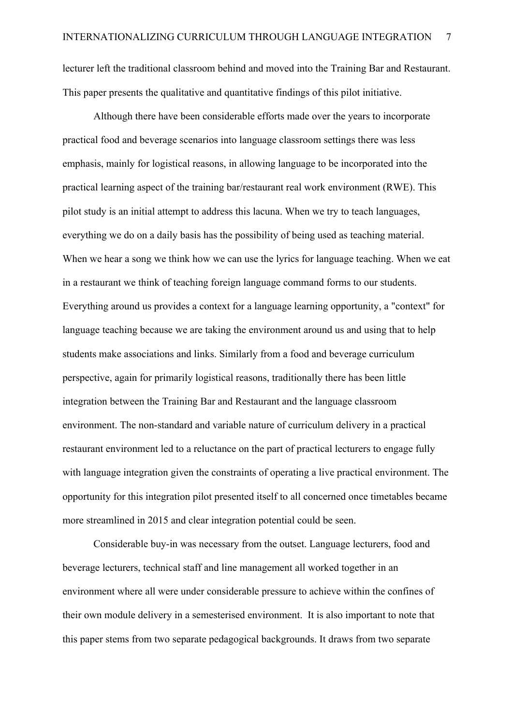lecturer left the traditional classroom behind and moved into the Training Bar and Restaurant. This paper presents the qualitative and quantitative findings of this pilot initiative.

Although there have been considerable efforts made over the years to incorporate practical food and beverage scenarios into language classroom settings there was less emphasis, mainly for logistical reasons, in allowing language to be incorporated into the practical learning aspect of the training bar/restaurant real work environment (RWE). This pilot study is an initial attempt to address this lacuna. When we try to teach languages, everything we do on a daily basis has the possibility of being used as teaching material. When we hear a song we think how we can use the lyrics for language teaching. When we eat in a restaurant we think of teaching foreign language command forms to our students. Everything around us provides a context for a language learning opportunity, a "context" for language teaching because we are taking the environment around us and using that to help students make associations and links. Similarly from a food and beverage curriculum perspective, again for primarily logistical reasons, traditionally there has been little integration between the Training Bar and Restaurant and the language classroom environment. The non-standard and variable nature of curriculum delivery in a practical restaurant environment led to a reluctance on the part of practical lecturers to engage fully with language integration given the constraints of operating a live practical environment. The opportunity for this integration pilot presented itself to all concerned once timetables became more streamlined in 2015 and clear integration potential could be seen.

Considerable buy-in was necessary from the outset. Language lecturers, food and beverage lecturers, technical staff and line management all worked together in an environment where all were under considerable pressure to achieve within the confines of their own module delivery in a semesterised environment. It is also important to note that this paper stems from two separate pedagogical backgrounds. It draws from two separate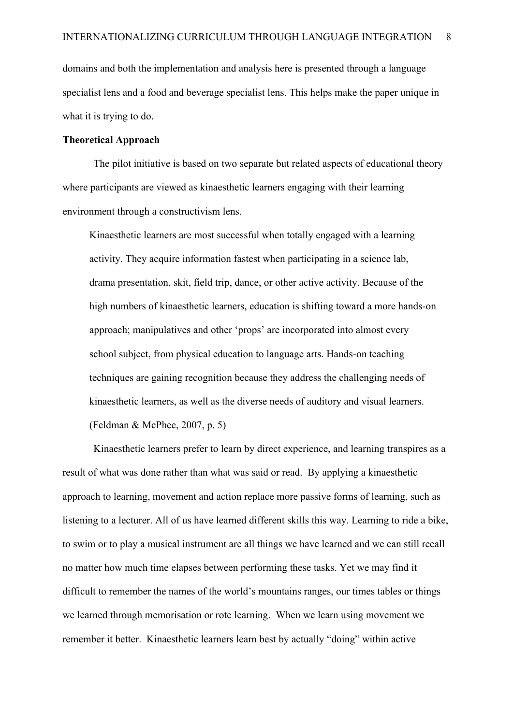domains and both the implementation and analysis here is presented through a language specialist lens and a food and beverage specialist lens. This helps make the paper unique in what it is trying to do.

## **Theoretical Approach**

The pilot initiative is based on two separate but related aspects of educational theory where participants are viewed as kinaesthetic learners engaging with their learning environment through a constructivism lens.

Kinaesthetic learners are most successful when totally engaged with a learning activity. They acquire information fastest when participating in a science lab, drama presentation, skit, field trip, dance, or other active activity. Because of the high numbers of kinaesthetic learners, education is shifting toward a more hands-on approach; manipulatives and other 'props' are incorporated into almost every school subject, from physical education to language arts. Hands-on teaching techniques are gaining recognition because they address the challenging needs of kinaesthetic learners, as well as the diverse needs of auditory and visual learners. (Feldman & McPhee, 2007, p. 5)

Kinaesthetic learners prefer to learn by direct experience, and learning transpires as a result of what was done rather than what was said or read. By applying a kinaesthetic approach to learning, movement and action replace more passive forms of learning, such as listening to a lecturer. All of us have learned different skills this way. Learning to ride a bike, to swim or to play a musical instrument are all things we have learned and we can still recall no matter how much time elapses between performing these tasks. Yet we may find it difficult to remember the names of the world's mountains ranges, our times tables or things we learned through memorisation or rote learning. When we learn using movement we remember it better. Kinaesthetic learners learn best by actually "doing" within active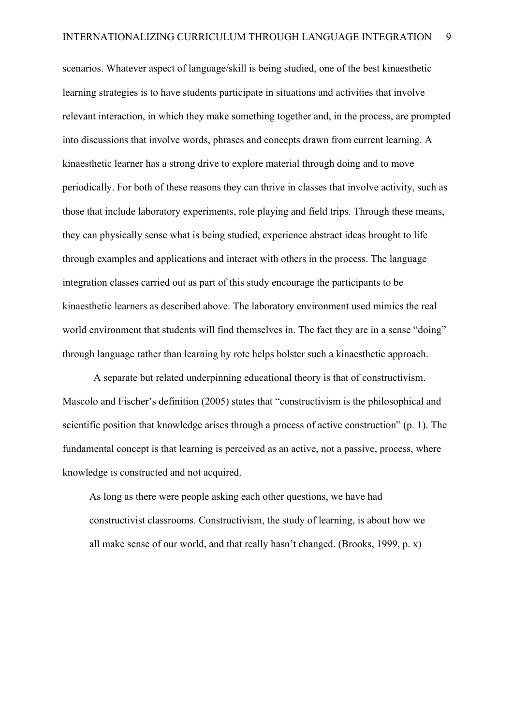scenarios. Whatever aspect of language/skill is being studied, one of the best kinaesthetic learning strategies is to have students participate in situations and activities that involve relevant interaction, in which they make something together and, in the process, are prompted into discussions that involve words, phrases and concepts drawn from current learning. A kinaesthetic learner has a strong drive to explore material through doing and to move periodically. For both of these reasons they can thrive in classes that involve activity, such as those that include laboratory experiments, role playing and field trips. Through these means, they can physically sense what is being studied, experience abstract ideas brought to life through examples and applications and interact with others in the process. The language integration classes carried out as part of this study encourage the participants to be kinaesthetic learners as described above. The laboratory environment used mimics the real world environment that students will find themselves in. The fact they are in a sense "doing" through language rather than learning by rote helps bolster such a kinaesthetic approach.

A separate but related underpinning educational theory is that of constructivism. Mascolo and Fischer's definition (2005) states that "constructivism is the philosophical and scientific position that knowledge arises through a process of active construction" (p. 1). The fundamental concept is that learning is perceived as an active, not a passive, process, where knowledge is constructed and not acquired.

As long as there were people asking each other questions, we have had constructivist classrooms. Constructivism, the study of learning, is about how we all make sense of our world, and that really hasn't changed. (Brooks, 1999, p. x)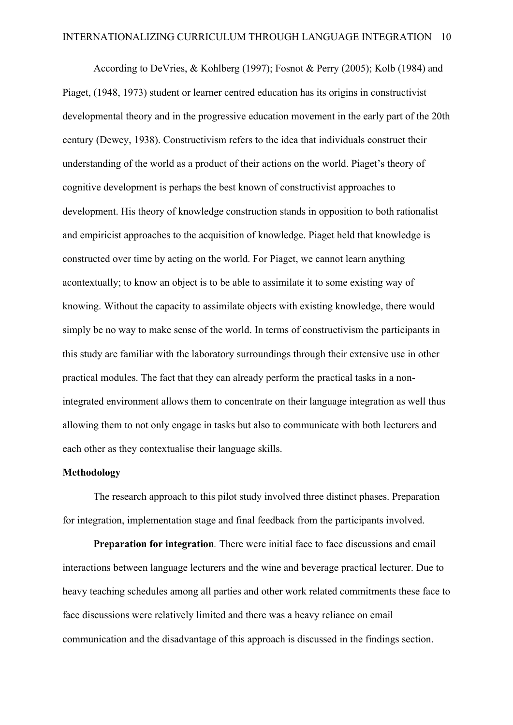According to DeVries, & Kohlberg (1997); Fosnot & Perry (2005); Kolb (1984) and Piaget, (1948, 1973) student or learner centred education has its origins in constructivist developmental theory and in the progressive education movement in the early part of the 20th century (Dewey, 1938). Constructivism refers to the idea that individuals construct their understanding of the world as a product of their actions on the world. Piaget's theory of cognitive development is perhaps the best known of constructivist approaches to development. His theory of knowledge construction stands in opposition to both rationalist and empiricist approaches to the acquisition of knowledge. Piaget held that knowledge is constructed over time by acting on the world. For Piaget, we cannot learn anything acontextually; to know an object is to be able to assimilate it to some existing way of knowing. Without the capacity to assimilate objects with existing knowledge, there would simply be no way to make sense of the world. In terms of constructivism the participants in this study are familiar with the laboratory surroundings through their extensive use in other practical modules. The fact that they can already perform the practical tasks in a nonintegrated environment allows them to concentrate on their language integration as well thus allowing them to not only engage in tasks but also to communicate with both lecturers and each other as they contextualise their language skills.

#### **Methodology**

The research approach to this pilot study involved three distinct phases. Preparation for integration, implementation stage and final feedback from the participants involved.

**Preparation for integration***.* There were initial face to face discussions and email interactions between language lecturers and the wine and beverage practical lecturer. Due to heavy teaching schedules among all parties and other work related commitments these face to face discussions were relatively limited and there was a heavy reliance on email communication and the disadvantage of this approach is discussed in the findings section.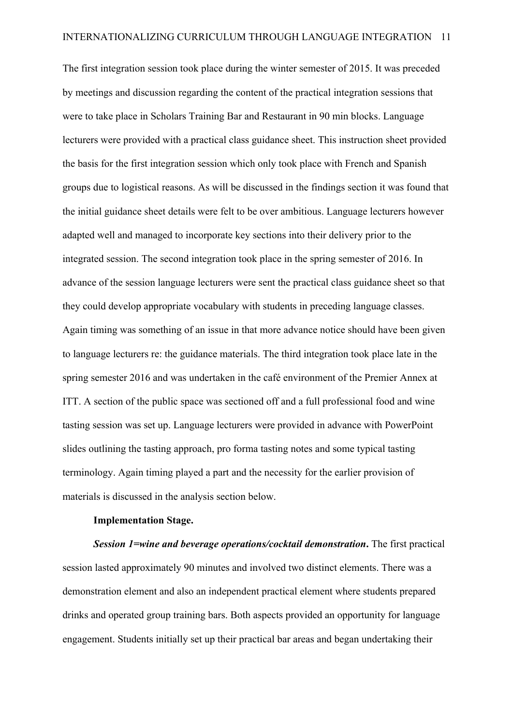The first integration session took place during the winter semester of 2015. It was preceded by meetings and discussion regarding the content of the practical integration sessions that were to take place in Scholars Training Bar and Restaurant in 90 min blocks. Language lecturers were provided with a practical class guidance sheet. This instruction sheet provided the basis for the first integration session which only took place with French and Spanish groups due to logistical reasons. As will be discussed in the findings section it was found that the initial guidance sheet details were felt to be over ambitious. Language lecturers however adapted well and managed to incorporate key sections into their delivery prior to the integrated session. The second integration took place in the spring semester of 2016. In advance of the session language lecturers were sent the practical class guidance sheet so that they could develop appropriate vocabulary with students in preceding language classes. Again timing was something of an issue in that more advance notice should have been given to language lecturers re: the guidance materials. The third integration took place late in the spring semester 2016 and was undertaken in the café environment of the Premier Annex at ITT. A section of the public space was sectioned off and a full professional food and wine tasting session was set up. Language lecturers were provided in advance with PowerPoint slides outlining the tasting approach, pro forma tasting notes and some typical tasting terminology. Again timing played a part and the necessity for the earlier provision of materials is discussed in the analysis section below.

#### **Implementation Stage.**

*Session 1=wine and beverage operations/cocktail demonstration***.** The first practical session lasted approximately 90 minutes and involved two distinct elements. There was a demonstration element and also an independent practical element where students prepared drinks and operated group training bars. Both aspects provided an opportunity for language engagement. Students initially set up their practical bar areas and began undertaking their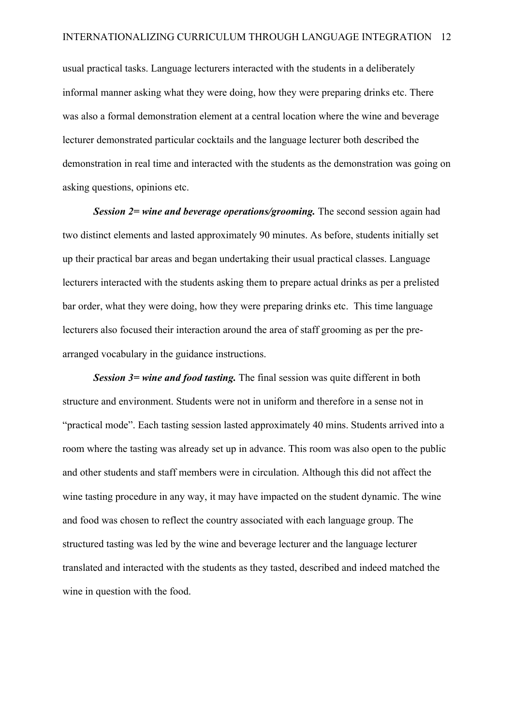usual practical tasks. Language lecturers interacted with the students in a deliberately informal manner asking what they were doing, how they were preparing drinks etc. There was also a formal demonstration element at a central location where the wine and beverage lecturer demonstrated particular cocktails and the language lecturer both described the demonstration in real time and interacted with the students as the demonstration was going on asking questions, opinions etc.

*Session 2= wine and beverage operations/grooming.* The second session again had two distinct elements and lasted approximately 90 minutes. As before, students initially set up their practical bar areas and began undertaking their usual practical classes. Language lecturers interacted with the students asking them to prepare actual drinks as per a prelisted bar order, what they were doing, how they were preparing drinks etc. This time language lecturers also focused their interaction around the area of staff grooming as per the prearranged vocabulary in the guidance instructions.

*Session 3* = *wine and food tasting*. The final session was quite different in both structure and environment. Students were not in uniform and therefore in a sense not in "practical mode". Each tasting session lasted approximately 40 mins. Students arrived into a room where the tasting was already set up in advance. This room was also open to the public and other students and staff members were in circulation. Although this did not affect the wine tasting procedure in any way, it may have impacted on the student dynamic. The wine and food was chosen to reflect the country associated with each language group. The structured tasting was led by the wine and beverage lecturer and the language lecturer translated and interacted with the students as they tasted, described and indeed matched the wine in question with the food.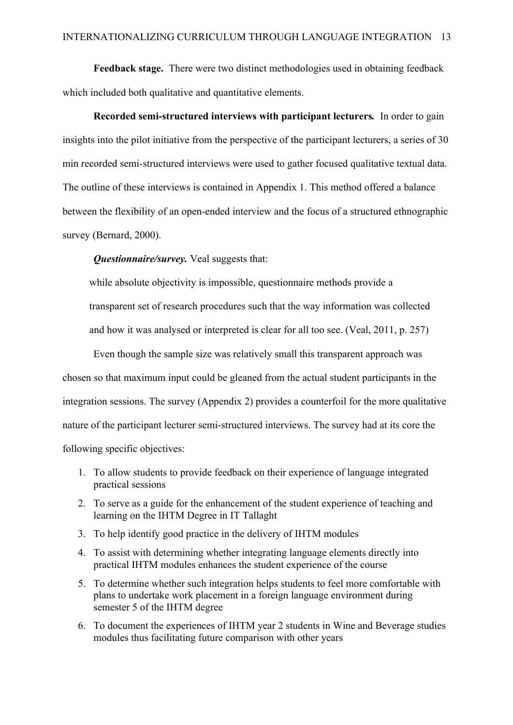**Feedback stage.** There were two distinct methodologies used in obtaining feedback which included both qualitative and quantitative elements.

**Recorded semi-structured interviews with participant lecturers***.*In order to gain insights into the pilot initiative from the perspective of the participant lecturers, a series of 30 min recorded semi-structured interviews were used to gather focused qualitative textual data. The outline of these interviews is contained in Appendix 1. This method offered a balance between the flexibility of an open-ended interview and the focus of a structured ethnographic survey (Bernard, 2000).

*Questionnaire/survey.* Veal suggests that:

while absolute objectivity is impossible, questionnaire methods provide a

transparent set of research procedures such that the way information was collected

and how it was analysed or interpreted is clear for all too see. (Veal, 2011, p. 257)

Even though the sample size was relatively small this transparent approach was chosen so that maximum input could be gleaned from the actual student participants in the integration sessions. The survey (Appendix 2) provides a counterfoil for the more qualitative nature of the participant lecturer semi-structured interviews. The survey had at its core the following specific objectives:

- 1. To allow students to provide feedback on their experience of language integrated practical sessions
- 2. To serve as a guide for the enhancement of the student experience of teaching and learning on the IHTM Degree in IT Tallaght
- 3. To help identify good practice in the delivery of IHTM modules
- 4. To assist with determining whether integrating language elements directly into practical IHTM modules enhances the student experience of the course
- 5. To determine whether such integration helps students to feel more comfortable with plans to undertake work placement in a foreign language environment during semester 5 of the IHTM degree
- 6. To document the experiences of IHTM year 2 students in Wine and Beverage studies modules thus facilitating future comparison with other years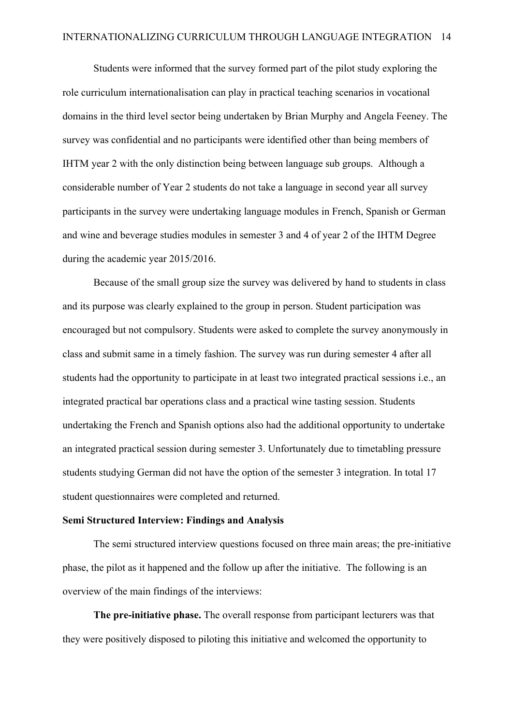Students were informed that the survey formed part of the pilot study exploring the role curriculum internationalisation can play in practical teaching scenarios in vocational domains in the third level sector being undertaken by Brian Murphy and Angela Feeney. The survey was confidential and no participants were identified other than being members of IHTM year 2 with the only distinction being between language sub groups. Although a considerable number of Year 2 students do not take a language in second year all survey participants in the survey were undertaking language modules in French, Spanish or German and wine and beverage studies modules in semester 3 and 4 of year 2 of the IHTM Degree during the academic year 2015/2016.

Because of the small group size the survey was delivered by hand to students in class and its purpose was clearly explained to the group in person. Student participation was encouraged but not compulsory. Students were asked to complete the survey anonymously in class and submit same in a timely fashion. The survey was run during semester 4 after all students had the opportunity to participate in at least two integrated practical sessions i.e., an integrated practical bar operations class and a practical wine tasting session. Students undertaking the French and Spanish options also had the additional opportunity to undertake an integrated practical session during semester 3. Unfortunately due to timetabling pressure students studying German did not have the option of the semester 3 integration. In total 17 student questionnaires were completed and returned.

#### **Semi Structured Interview: Findings and Analysis**

The semi structured interview questions focused on three main areas; the pre-initiative phase, the pilot as it happened and the follow up after the initiative. The following is an overview of the main findings of the interviews:

**The pre-initiative phase.** The overall response from participant lecturers was that they were positively disposed to piloting this initiative and welcomed the opportunity to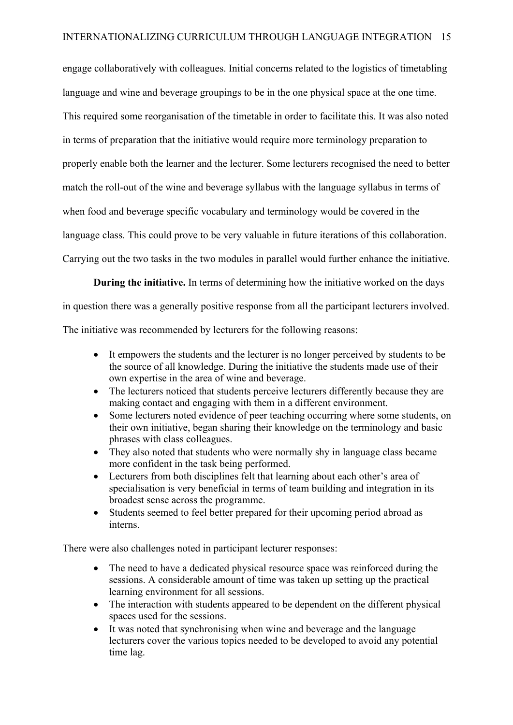engage collaboratively with colleagues. Initial concerns related to the logistics of timetabling language and wine and beverage groupings to be in the one physical space at the one time. This required some reorganisation of the timetable in order to facilitate this. It was also noted in terms of preparation that the initiative would require more terminology preparation to properly enable both the learner and the lecturer. Some lecturers recognised the need to better match the roll-out of the wine and beverage syllabus with the language syllabus in terms of when food and beverage specific vocabulary and terminology would be covered in the language class. This could prove to be very valuable in future iterations of this collaboration. Carrying out the two tasks in the two modules in parallel would further enhance the initiative.

**During the initiative.** In terms of determining how the initiative worked on the days in question there was a generally positive response from all the participant lecturers involved.

The initiative was recommended by lecturers for the following reasons:

- It empowers the students and the lecturer is no longer perceived by students to be the source of all knowledge. During the initiative the students made use of their own expertise in the area of wine and beverage.
- The lecturers noticed that students perceive lecturers differently because they are making contact and engaging with them in a different environment.
- Some lecturers noted evidence of peer teaching occurring where some students, on their own initiative, began sharing their knowledge on the terminology and basic phrases with class colleagues.
- They also noted that students who were normally shy in language class became more confident in the task being performed.
- Lecturers from both disciplines felt that learning about each other's area of specialisation is very beneficial in terms of team building and integration in its broadest sense across the programme.
- Students seemed to feel better prepared for their upcoming period abroad as interns.

There were also challenges noted in participant lecturer responses:

- The need to have a dedicated physical resource space was reinforced during the sessions. A considerable amount of time was taken up setting up the practical learning environment for all sessions.
- The interaction with students appeared to be dependent on the different physical spaces used for the sessions.
- It was noted that synchronising when wine and beverage and the language lecturers cover the various topics needed to be developed to avoid any potential time lag.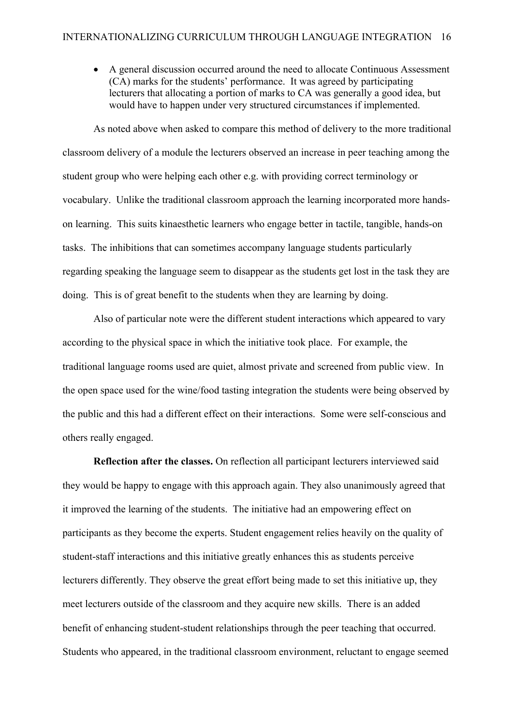• A general discussion occurred around the need to allocate Continuous Assessment (CA) marks for the students' performance. It was agreed by participating lecturers that allocating a portion of marks to CA was generally a good idea, but would have to happen under very structured circumstances if implemented.

As noted above when asked to compare this method of delivery to the more traditional classroom delivery of a module the lecturers observed an increase in peer teaching among the student group who were helping each other e.g. with providing correct terminology or vocabulary. Unlike the traditional classroom approach the learning incorporated more handson learning. This suits kinaesthetic learners who engage better in tactile, tangible, hands-on tasks. The inhibitions that can sometimes accompany language students particularly regarding speaking the language seem to disappear as the students get lost in the task they are doing. This is of great benefit to the students when they are learning by doing.

Also of particular note were the different student interactions which appeared to vary according to the physical space in which the initiative took place. For example, the traditional language rooms used are quiet, almost private and screened from public view. In the open space used for the wine/food tasting integration the students were being observed by the public and this had a different effect on their interactions. Some were self-conscious and others really engaged.

**Reflection after the classes.** On reflection all participant lecturers interviewed said they would be happy to engage with this approach again. They also unanimously agreed that it improved the learning of the students. The initiative had an empowering effect on participants as they become the experts. Student engagement relies heavily on the quality of student-staff interactions and this initiative greatly enhances this as students perceive lecturers differently. They observe the great effort being made to set this initiative up, they meet lecturers outside of the classroom and they acquire new skills. There is an added benefit of enhancing student-student relationships through the peer teaching that occurred. Students who appeared, in the traditional classroom environment, reluctant to engage seemed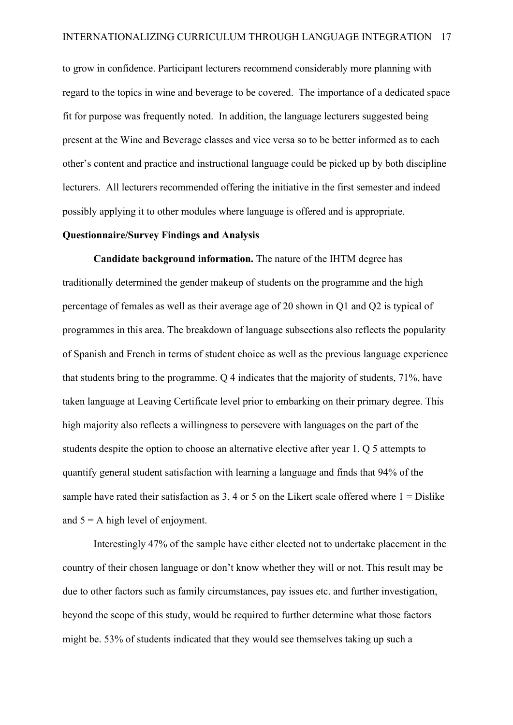to grow in confidence. Participant lecturers recommend considerably more planning with regard to the topics in wine and beverage to be covered. The importance of a dedicated space fit for purpose was frequently noted. In addition, the language lecturers suggested being present at the Wine and Beverage classes and vice versa so to be better informed as to each other's content and practice and instructional language could be picked up by both discipline lecturers. All lecturers recommended offering the initiative in the first semester and indeed possibly applying it to other modules where language is offered and is appropriate.

#### **Questionnaire/Survey Findings and Analysis**

**Candidate background information.** The nature of the IHTM degree has traditionally determined the gender makeup of students on the programme and the high percentage of females as well as their average age of 20 shown in Q1 and Q2 is typical of programmes in this area. The breakdown of language subsections also reflects the popularity of Spanish and French in terms of student choice as well as the previous language experience that students bring to the programme. Q 4 indicates that the majority of students, 71%, have taken language at Leaving Certificate level prior to embarking on their primary degree. This high majority also reflects a willingness to persevere with languages on the part of the students despite the option to choose an alternative elective after year 1. Q 5 attempts to quantify general student satisfaction with learning a language and finds that 94% of the sample have rated their satisfaction as  $3, 4$  or 5 on the Likert scale offered where  $1 =$  Dislike and  $5 = A$  high level of enjoyment.

Interestingly 47% of the sample have either elected not to undertake placement in the country of their chosen language or don't know whether they will or not. This result may be due to other factors such as family circumstances, pay issues etc. and further investigation, beyond the scope of this study, would be required to further determine what those factors might be. 53% of students indicated that they would see themselves taking up such a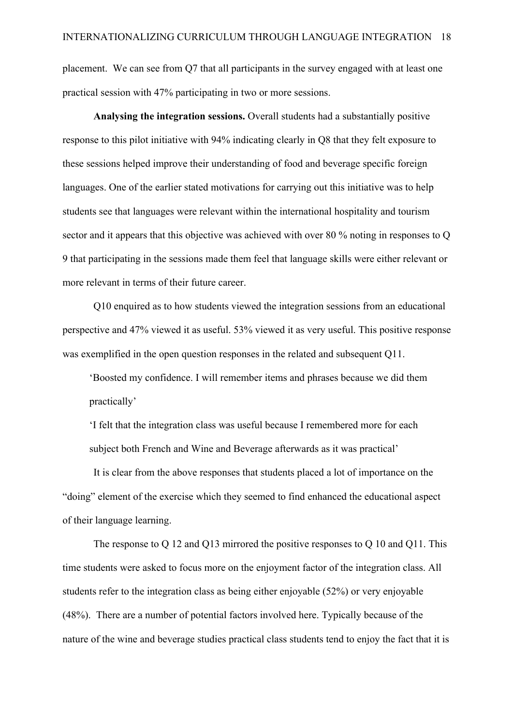placement. We can see from Q7 that all participants in the survey engaged with at least one practical session with 47% participating in two or more sessions.

**Analysing the integration sessions.** Overall students had a substantially positive response to this pilot initiative with 94% indicating clearly in Q8 that they felt exposure to these sessions helped improve their understanding of food and beverage specific foreign languages. One of the earlier stated motivations for carrying out this initiative was to help students see that languages were relevant within the international hospitality and tourism sector and it appears that this objective was achieved with over 80 % noting in responses to Q 9 that participating in the sessions made them feel that language skills were either relevant or more relevant in terms of their future career.

Q10 enquired as to how students viewed the integration sessions from an educational perspective and 47% viewed it as useful. 53% viewed it as very useful. This positive response was exemplified in the open question responses in the related and subsequent O11.

'Boosted my confidence. I will remember items and phrases because we did them practically'

'I felt that the integration class was useful because I remembered more for each subject both French and Wine and Beverage afterwards as it was practical'

It is clear from the above responses that students placed a lot of importance on the "doing" element of the exercise which they seemed to find enhanced the educational aspect of their language learning.

The response to Q 12 and Q13 mirrored the positive responses to Q 10 and Q11. This time students were asked to focus more on the enjoyment factor of the integration class. All students refer to the integration class as being either enjoyable (52%) or very enjoyable (48%). There are a number of potential factors involved here. Typically because of the nature of the wine and beverage studies practical class students tend to enjoy the fact that it is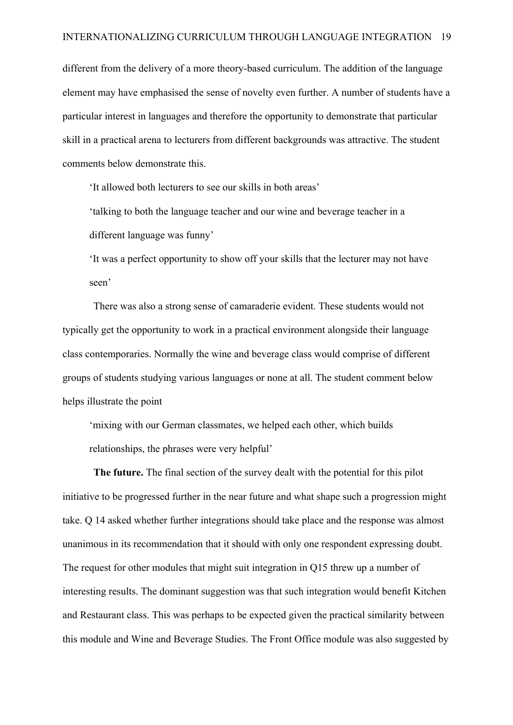different from the delivery of a more theory-based curriculum. The addition of the language element may have emphasised the sense of novelty even further. A number of students have a particular interest in languages and therefore the opportunity to demonstrate that particular skill in a practical arena to lecturers from different backgrounds was attractive. The student comments below demonstrate this.

'It allowed both lecturers to see our skills in both areas'

'talking to both the language teacher and our wine and beverage teacher in a different language was funny'

'It was a perfect opportunity to show off your skills that the lecturer may not have seen'

There was also a strong sense of camaraderie evident. These students would not typically get the opportunity to work in a practical environment alongside their language class contemporaries. Normally the wine and beverage class would comprise of different groups of students studying various languages or none at all. The student comment below helps illustrate the point

'mixing with our German classmates, we helped each other, which builds relationships, the phrases were very helpful'

**The future.** The final section of the survey dealt with the potential for this pilot initiative to be progressed further in the near future and what shape such a progression might take. Q 14 asked whether further integrations should take place and the response was almost unanimous in its recommendation that it should with only one respondent expressing doubt. The request for other modules that might suit integration in Q15 threw up a number of interesting results. The dominant suggestion was that such integration would benefit Kitchen and Restaurant class. This was perhaps to be expected given the practical similarity between this module and Wine and Beverage Studies. The Front Office module was also suggested by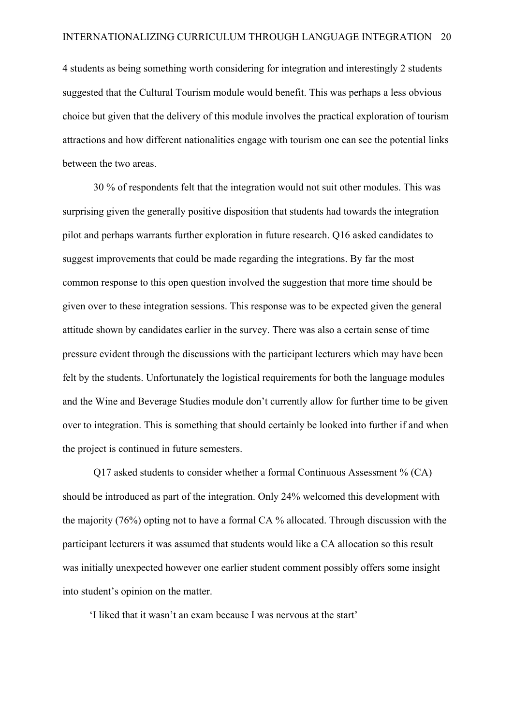4 students as being something worth considering for integration and interestingly 2 students suggested that the Cultural Tourism module would benefit. This was perhaps a less obvious choice but given that the delivery of this module involves the practical exploration of tourism attractions and how different nationalities engage with tourism one can see the potential links between the two areas.

30 % of respondents felt that the integration would not suit other modules. This was surprising given the generally positive disposition that students had towards the integration pilot and perhaps warrants further exploration in future research. Q16 asked candidates to suggest improvements that could be made regarding the integrations. By far the most common response to this open question involved the suggestion that more time should be given over to these integration sessions. This response was to be expected given the general attitude shown by candidates earlier in the survey. There was also a certain sense of time pressure evident through the discussions with the participant lecturers which may have been felt by the students. Unfortunately the logistical requirements for both the language modules and the Wine and Beverage Studies module don't currently allow for further time to be given over to integration. This is something that should certainly be looked into further if and when the project is continued in future semesters.

Q17 asked students to consider whether a formal Continuous Assessment % (CA) should be introduced as part of the integration. Only 24% welcomed this development with the majority (76%) opting not to have a formal CA % allocated. Through discussion with the participant lecturers it was assumed that students would like a CA allocation so this result was initially unexpected however one earlier student comment possibly offers some insight into student's opinion on the matter.

'I liked that it wasn't an exam because I was nervous at the start'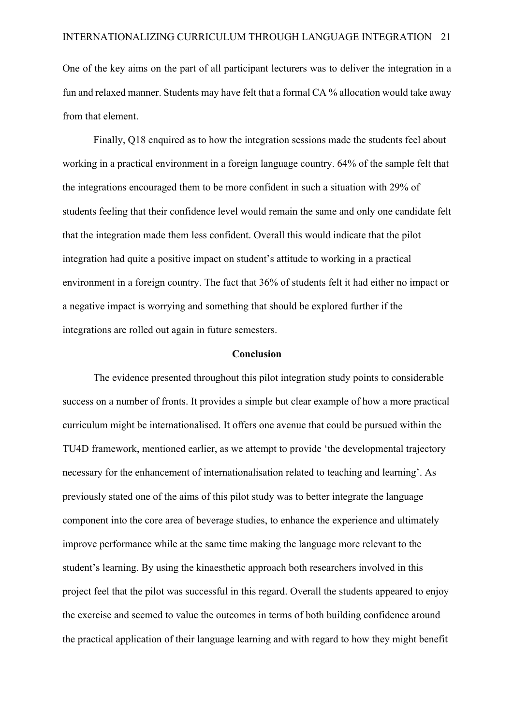One of the key aims on the part of all participant lecturers was to deliver the integration in a fun and relaxed manner. Students may have felt that a formal CA % allocation would take away from that element.

Finally, Q18 enquired as to how the integration sessions made the students feel about working in a practical environment in a foreign language country. 64% of the sample felt that the integrations encouraged them to be more confident in such a situation with 29% of students feeling that their confidence level would remain the same and only one candidate felt that the integration made them less confident. Overall this would indicate that the pilot integration had quite a positive impact on student's attitude to working in a practical environment in a foreign country. The fact that 36% of students felt it had either no impact or a negative impact is worrying and something that should be explored further if the integrations are rolled out again in future semesters.

#### **Conclusion**

The evidence presented throughout this pilot integration study points to considerable success on a number of fronts. It provides a simple but clear example of how a more practical curriculum might be internationalised. It offers one avenue that could be pursued within the TU4D framework, mentioned earlier, as we attempt to provide 'the developmental trajectory necessary for the enhancement of internationalisation related to teaching and learning'. As previously stated one of the aims of this pilot study was to better integrate the language component into the core area of beverage studies, to enhance the experience and ultimately improve performance while at the same time making the language more relevant to the student's learning. By using the kinaesthetic approach both researchers involved in this project feel that the pilot was successful in this regard. Overall the students appeared to enjoy the exercise and seemed to value the outcomes in terms of both building confidence around the practical application of their language learning and with regard to how they might benefit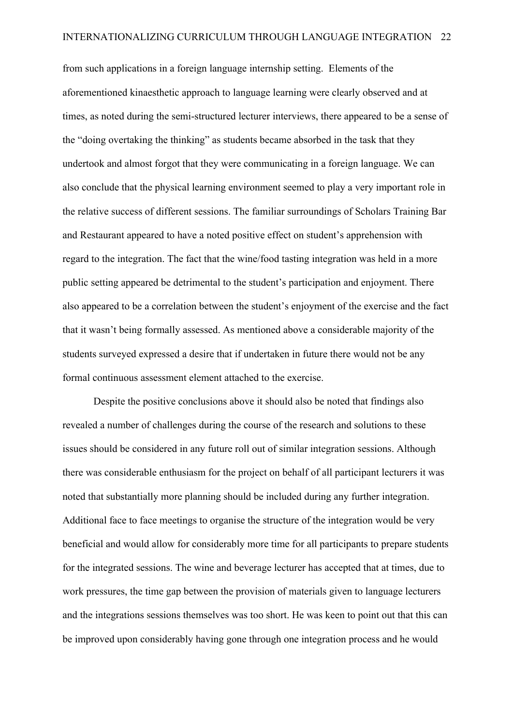from such applications in a foreign language internship setting. Elements of the aforementioned kinaesthetic approach to language learning were clearly observed and at times, as noted during the semi-structured lecturer interviews, there appeared to be a sense of the "doing overtaking the thinking" as students became absorbed in the task that they undertook and almost forgot that they were communicating in a foreign language. We can also conclude that the physical learning environment seemed to play a very important role in the relative success of different sessions. The familiar surroundings of Scholars Training Bar and Restaurant appeared to have a noted positive effect on student's apprehension with regard to the integration. The fact that the wine/food tasting integration was held in a more public setting appeared be detrimental to the student's participation and enjoyment. There also appeared to be a correlation between the student's enjoyment of the exercise and the fact that it wasn't being formally assessed. As mentioned above a considerable majority of the students surveyed expressed a desire that if undertaken in future there would not be any formal continuous assessment element attached to the exercise.

Despite the positive conclusions above it should also be noted that findings also revealed a number of challenges during the course of the research and solutions to these issues should be considered in any future roll out of similar integration sessions. Although there was considerable enthusiasm for the project on behalf of all participant lecturers it was noted that substantially more planning should be included during any further integration. Additional face to face meetings to organise the structure of the integration would be very beneficial and would allow for considerably more time for all participants to prepare students for the integrated sessions. The wine and beverage lecturer has accepted that at times, due to work pressures, the time gap between the provision of materials given to language lecturers and the integrations sessions themselves was too short. He was keen to point out that this can be improved upon considerably having gone through one integration process and he would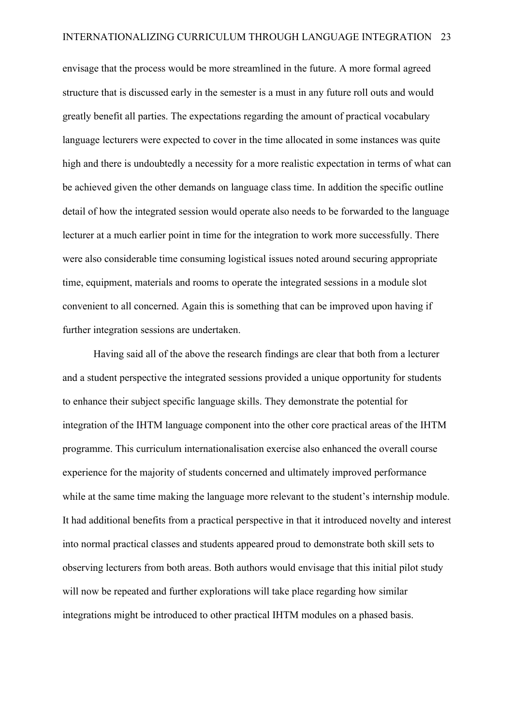envisage that the process would be more streamlined in the future. A more formal agreed structure that is discussed early in the semester is a must in any future roll outs and would greatly benefit all parties. The expectations regarding the amount of practical vocabulary language lecturers were expected to cover in the time allocated in some instances was quite high and there is undoubtedly a necessity for a more realistic expectation in terms of what can be achieved given the other demands on language class time. In addition the specific outline detail of how the integrated session would operate also needs to be forwarded to the language lecturer at a much earlier point in time for the integration to work more successfully. There were also considerable time consuming logistical issues noted around securing appropriate time, equipment, materials and rooms to operate the integrated sessions in a module slot convenient to all concerned. Again this is something that can be improved upon having if further integration sessions are undertaken.

Having said all of the above the research findings are clear that both from a lecturer and a student perspective the integrated sessions provided a unique opportunity for students to enhance their subject specific language skills. They demonstrate the potential for integration of the IHTM language component into the other core practical areas of the IHTM programme. This curriculum internationalisation exercise also enhanced the overall course experience for the majority of students concerned and ultimately improved performance while at the same time making the language more relevant to the student's internship module. It had additional benefits from a practical perspective in that it introduced novelty and interest into normal practical classes and students appeared proud to demonstrate both skill sets to observing lecturers from both areas. Both authors would envisage that this initial pilot study will now be repeated and further explorations will take place regarding how similar integrations might be introduced to other practical IHTM modules on a phased basis.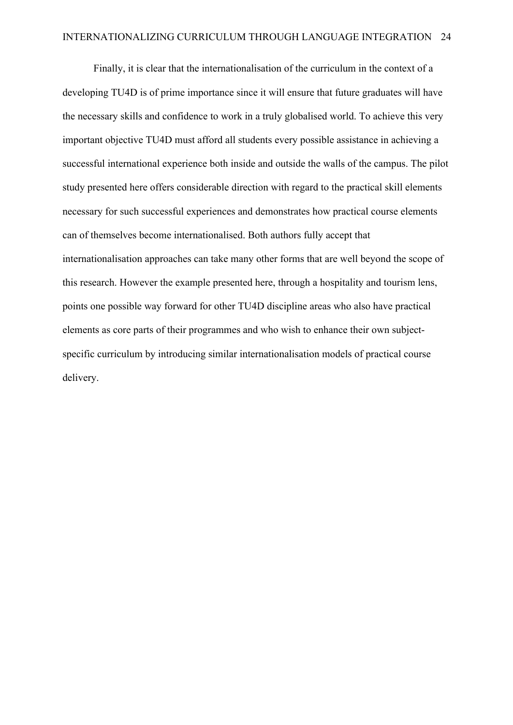Finally, it is clear that the internationalisation of the curriculum in the context of a developing TU4D is of prime importance since it will ensure that future graduates will have the necessary skills and confidence to work in a truly globalised world. To achieve this very important objective TU4D must afford all students every possible assistance in achieving a successful international experience both inside and outside the walls of the campus. The pilot study presented here offers considerable direction with regard to the practical skill elements necessary for such successful experiences and demonstrates how practical course elements can of themselves become internationalised. Both authors fully accept that internationalisation approaches can take many other forms that are well beyond the scope of this research. However the example presented here, through a hospitality and tourism lens, points one possible way forward for other TU4D discipline areas who also have practical elements as core parts of their programmes and who wish to enhance their own subjectspecific curriculum by introducing similar internationalisation models of practical course delivery.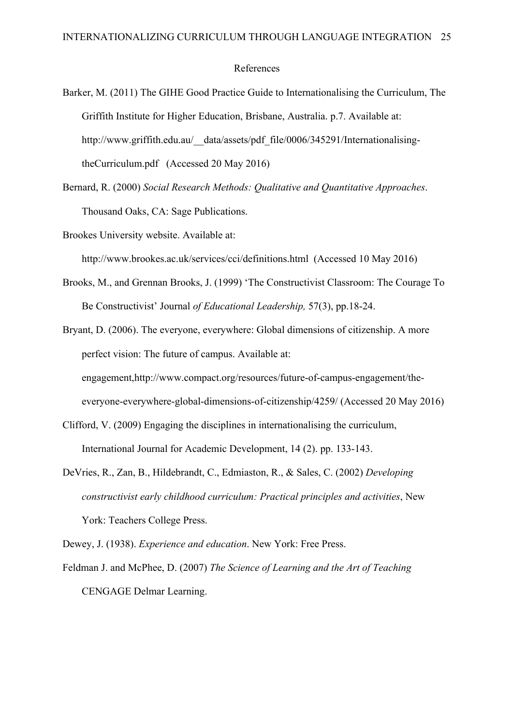#### References

- Barker, M. (2011) The GIHE Good Practice Guide to Internationalising the Curriculum, The Griffith Institute for Higher Education, Brisbane, Australia. p.7. Available at: http://www.griffith.edu.au/\_data/assets/pdf\_file/0006/345291/InternationalisingtheCurriculum.pdf (Accessed 20 May 2016)
- Bernard, R. (2000) *Social Research Methods: Qualitative and Quantitative Approaches*. Thousand Oaks, CA: Sage Publications.
- Brookes University website. Available at:

http://www.brookes.ac.uk/services/cci/definitions.html (Accessed 10 May 2016)

- Brooks, M., and Grennan Brooks, J. (1999) 'The Constructivist Classroom: The Courage To Be Constructivist' Journal *of Educational Leadership,* 57(3), pp.18-24.
- Bryant, D. (2006). The everyone, everywhere: Global dimensions of citizenship. A more perfect vision: The future of campus. Available at: engagement,http://www.compact.org/resources/future-of-campus-engagement/theeveryone-everywhere-global-dimensions-of-citizenship/4259/ (Accessed 20 May 2016)
- Clifford, V. (2009) Engaging the disciplines in internationalising the curriculum, International Journal for Academic Development, 14 (2). pp. 133-143.
- DeVries, R., Zan, B., Hildebrandt, C., Edmiaston, R., & Sales, C. (2002) *Developing constructivist early childhood curriculum: Practical principles and activities*, New York: Teachers College Press.

Dewey, J. (1938). *Experience and education*. New York: Free Press.

Feldman J. and McPhee, D. (2007) *The Science of Learning and the Art of Teaching*  CENGAGE Delmar Learning.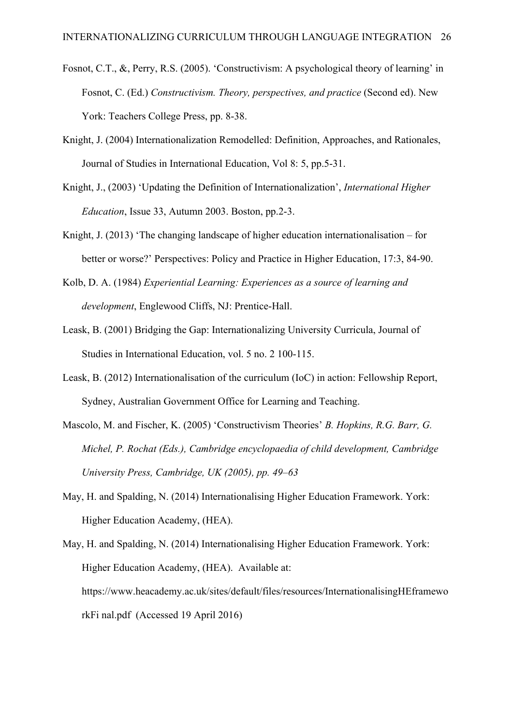- Fosnot, C.T., &, Perry, R.S. (2005). 'Constructivism: A psychological theory of learning' in Fosnot, C. (Ed.) *Constructivism. Theory, perspectives, and practice* (Second ed). New York: Teachers College Press, pp. 8-38.
- Knight, J. (2004) Internationalization Remodelled: Definition, Approaches, and Rationales, Journal of Studies in International Education, Vol 8: 5, pp.5-31.
- Knight, J., (2003) 'Updating the Definition of Internationalization', *International Higher Education*, Issue 33, Autumn 2003. Boston, pp.2-3.
- Knight, J. (2013) 'The changing landscape of higher education internationalisation for better or worse?' Perspectives: Policy and Practice in Higher Education, 17:3, 84-90.
- Kolb, D. A. (1984) *Experiential Learning: Experiences as a source of learning and development*, Englewood Cliffs, NJ: Prentice-Hall.
- Leask, B. (2001) Bridging the Gap: Internationalizing University Curricula, Journal of Studies in International Education, vol. 5 no. 2 100-115.
- Leask, B. (2012) Internationalisation of the curriculum (IoC) in action: Fellowship Report, Sydney, Australian Government Office for Learning and Teaching.
- Mascolo, M. and Fischer, K. (2005) 'Constructivism Theories' *B. Hopkins, R.G. Barr, G. Michel, P. Rochat (Eds.), Cambridge encyclopaedia of child development, Cambridge University Press, Cambridge, UK (2005), pp. 49–63*
- May, H. and Spalding, N. (2014) Internationalising Higher Education Framework. York: Higher Education Academy, (HEA).
- May, H. and Spalding, N. (2014) Internationalising Higher Education Framework. York: Higher Education Academy, (HEA). Available at: https://www.heacademy.ac.uk/sites/default/files/resources/InternationalisingHEframewo rkFi nal.pdf (Accessed 19 April 2016)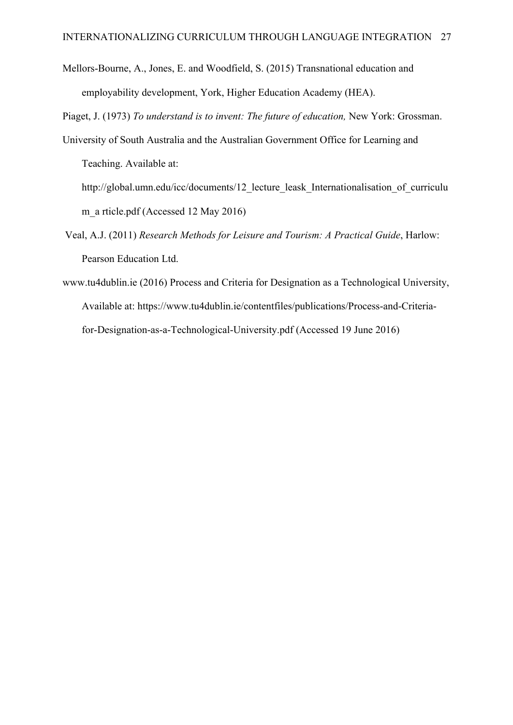Mellors-Bourne, A., Jones, E. and Woodfield, S. (2015) Transnational education and employability development, York, Higher Education Academy (HEA).

Piaget, J. (1973) *To understand is to invent: The future of education,* New York: Grossman.

- University of South Australia and the Australian Government Office for Learning and Teaching. Available at:
	- http://global.umn.edu/icc/documents/12 lecture leask Internationalisation of curriculu m a rticle.pdf (Accessed 12 May 2016)
- Veal, A.J. (2011) *Research Methods for Leisure and Tourism: A Practical Guide*, Harlow: Pearson Education Ltd.
- www.tu4dublin.ie (2016) Process and Criteria for Designation as a Technological University, Available at: https://www.tu4dublin.ie/contentfiles/publications/Process-and-Criteriafor-Designation-as-a-Technological-University.pdf (Accessed 19 June 2016)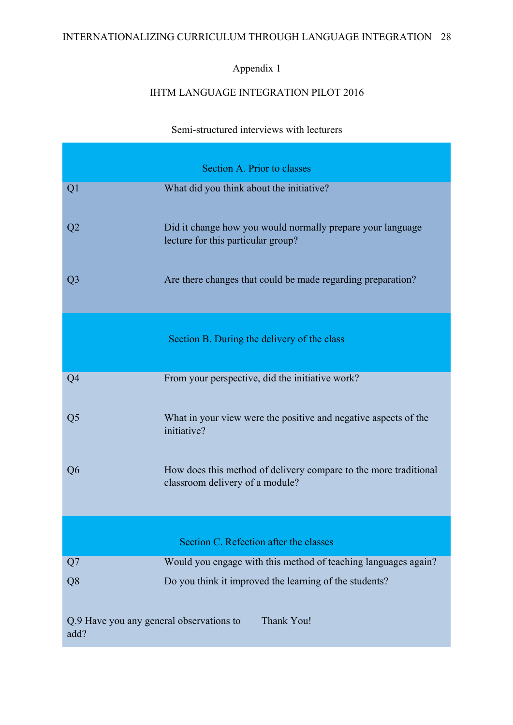# INTERNATIONALIZING CURRICULUM THROUGH LANGUAGE INTEGRATION 28

# Appendix 1

# IHTM LANGUAGE INTEGRATION PILOT 2016

Semi-structured interviews with lecturers

|                                                  | Section A. Prior to classes                                                                         |  |
|--------------------------------------------------|-----------------------------------------------------------------------------------------------------|--|
| Q1                                               | What did you think about the initiative?                                                            |  |
| Q <sub>2</sub>                                   | Did it change how you would normally prepare your language<br>lecture for this particular group?    |  |
| Q <sub>3</sub>                                   | Are there changes that could be made regarding preparation?                                         |  |
|                                                  | Section B. During the delivery of the class                                                         |  |
| Q <sub>4</sub>                                   | From your perspective, did the initiative work?                                                     |  |
| Q <sub>5</sub>                                   | What in your view were the positive and negative aspects of the<br>initiative?                      |  |
| Q <sub>6</sub>                                   | How does this method of delivery compare to the more traditional<br>classroom delivery of a module? |  |
| Section C. Refection after the classes           |                                                                                                     |  |
| Q7                                               | Would you engage with this method of teaching languages again?                                      |  |
| Q <sub>8</sub>                                   | Do you think it improved the learning of the students?                                              |  |
| Q.9 Have you any general observations to<br>add? | Thank You!                                                                                          |  |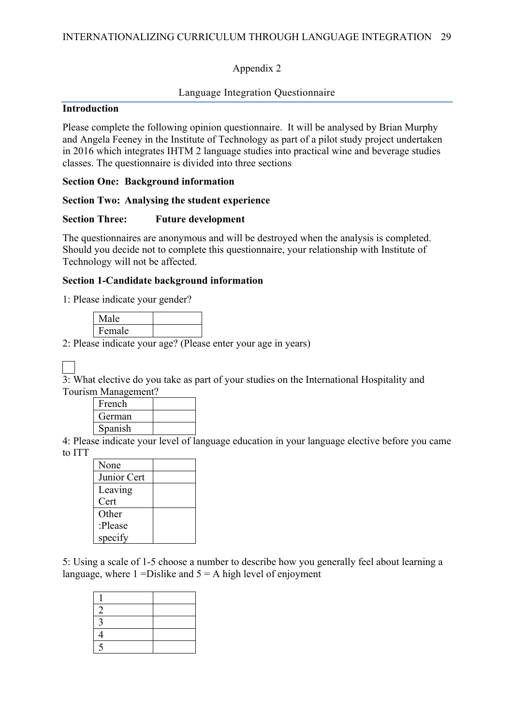# Appendix 2

# Language Integration Questionnaire

# **Introduction**

Please complete the following opinion questionnaire. It will be analysed by Brian Murphy and Angela Feeney in the Institute of Technology as part of a pilot study project undertaken in 2016 which integrates IHTM 2 language studies into practical wine and beverage studies classes. The questionnaire is divided into three sections

## **Section One: Background information**

# **Section Two: Analysing the student experience**

# **Section Three: Future development**

The questionnaires are anonymous and will be destroyed when the analysis is completed. Should you decide not to complete this questionnaire, your relationship with Institute of Technology will not be affected.

# **Section 1-Candidate background information**

1: Please indicate your gender?

| Male   |  |
|--------|--|
| Female |  |

2: Please indicate your age? (Please enter your age in years)

3: What elective do you take as part of your studies on the International Hospitality and Tourism Management?

| French  |  |
|---------|--|
| German  |  |
| Spanish |  |

4: Please indicate your level of language education in your language elective before you came to ITT

| None        |  |
|-------------|--|
| Junior Cert |  |
| Leaving     |  |
| Cert        |  |
| Other       |  |
| :Please     |  |
| specify     |  |

5: Using a scale of 1-5 choose a number to describe how you generally feel about learning a language, where  $1 = Distlike$  and  $5 = A$  high level of enjoyment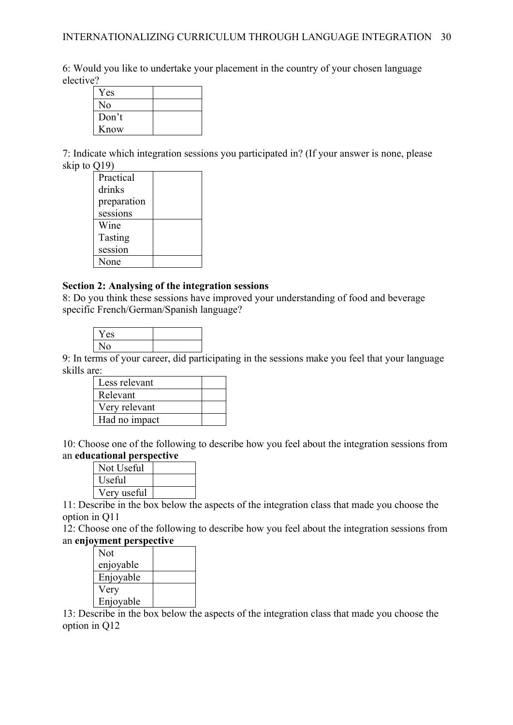6: Would you like to undertake your placement in the country of your chosen language elective?

| Yes   |  |
|-------|--|
| No    |  |
| Don't |  |
| Know  |  |

7: Indicate which integration sessions you participated in? (If your answer is none, please skip to Q19)

| Practical   |  |
|-------------|--|
| drinks      |  |
| preparation |  |
| sessions    |  |
| Wine        |  |
| Tasting     |  |
| session     |  |
| None        |  |

#### **Section 2: Analysing of the integration sessions**

8: Do you think these sessions have improved your understanding of food and beverage specific French/German/Spanish language?

| Yes |  |
|-----|--|
| ۹O  |  |

9: In terms of your career, did participating in the sessions make you feel that your language skills are:

| Less relevant |  |
|---------------|--|
| Relevant      |  |
| Very relevant |  |
| Had no impact |  |

10: Choose one of the following to describe how you feel about the integration sessions from an **educational perspective** 

| Not Useful  |  |
|-------------|--|
| Useful      |  |
| Very useful |  |
|             |  |

11: Describe in the box below the aspects of the integration class that made you choose the option in Q11

12: Choose one of the following to describe how you feel about the integration sessions from an **enjoyment perspective** 

| Not       |  |
|-----------|--|
| enjoyable |  |
| Enjoyable |  |
| Very      |  |
| Enjoyable |  |

13: Describe in the box below the aspects of the integration class that made you choose the option in Q12